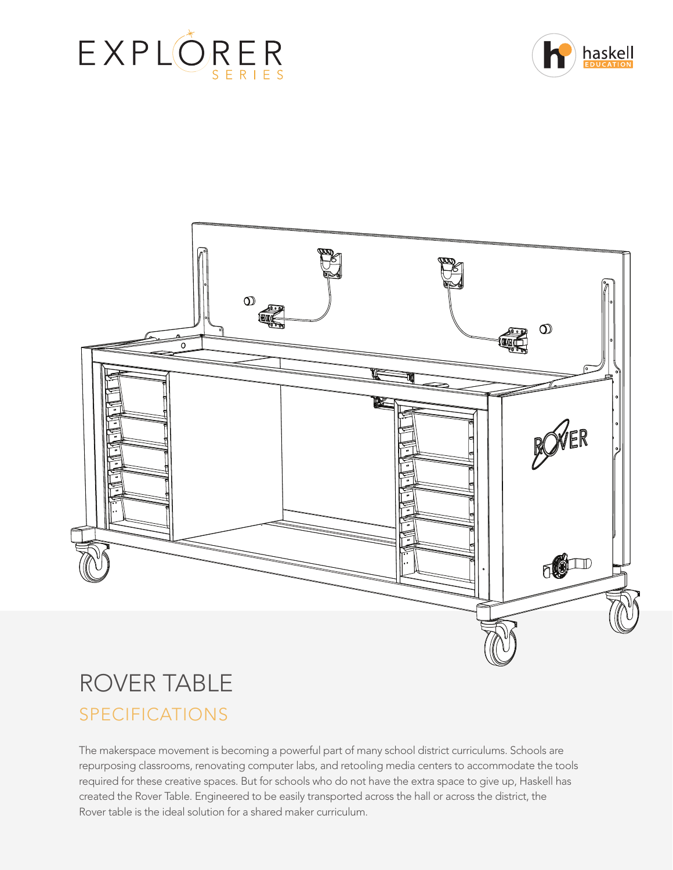





# ROVER TABLE SPECIFICATIONS

The makerspace movement is becoming a powerful part of many school district curriculums. Schools are repurposing classrooms, renovating computer labs, and retooling media centers to accommodate the tools required for these creative spaces. But for schools who do not have the extra space to give up, Haskell has created the Rover Table. Engineered to be easily transported across the hall or across the district, the Rover table is the ideal solution for a shared maker curriculum.